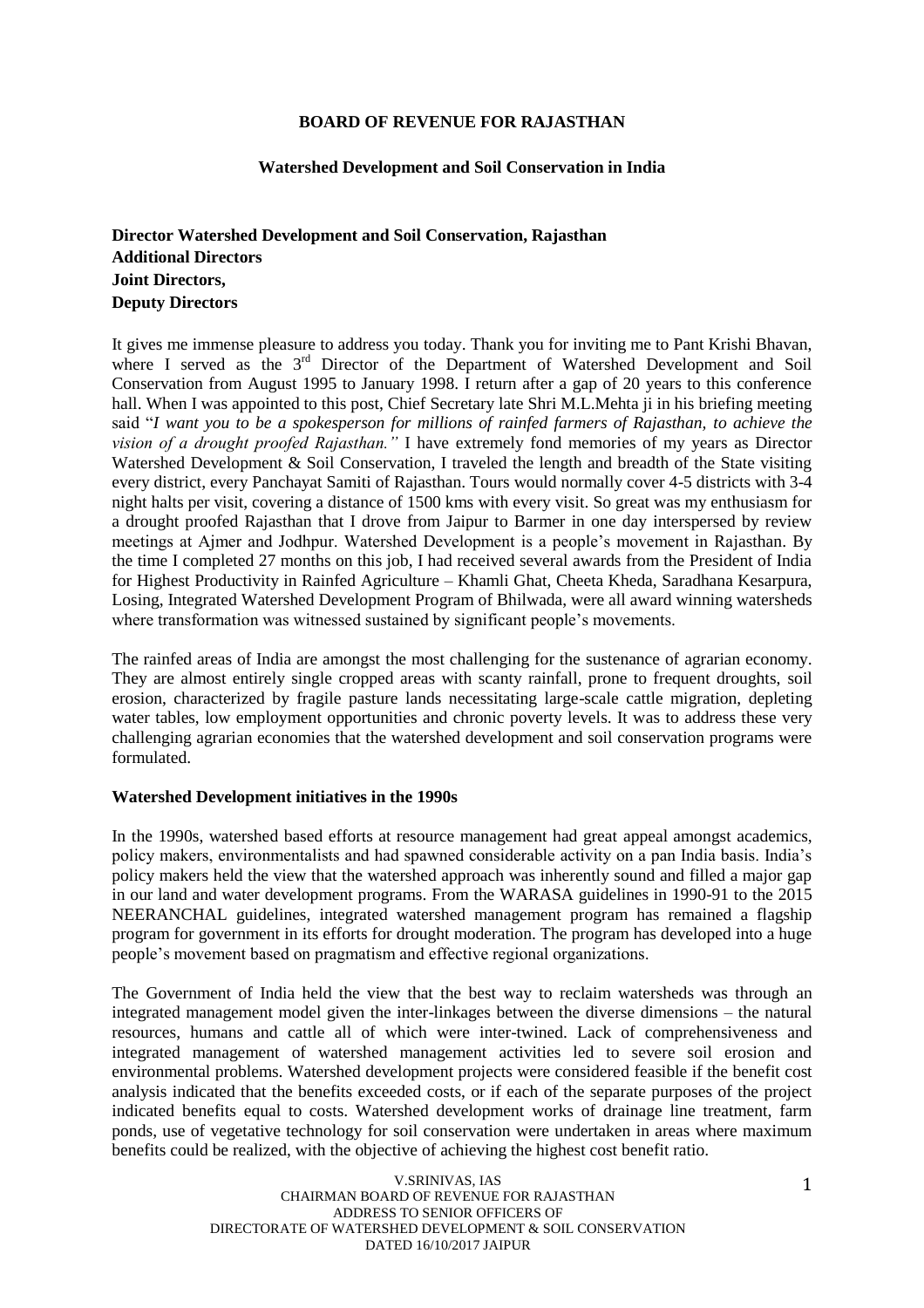### **BOARD OF REVENUE FOR RAJASTHAN**

### **Watershed Development and Soil Conservation in India**

# **Director Watershed Development and Soil Conservation, Rajasthan Additional Directors Joint Directors, Deputy Directors**

It gives me immense pleasure to address you today. Thank you for inviting me to Pant Krishi Bhavan, where I served as the 3<sup>rd</sup> Director of the Department of Watershed Development and Soil Conservation from August 1995 to January 1998. I return after a gap of 20 years to this conference hall. When I was appointed to this post, Chief Secretary late Shri M.L.Mehta ji in his briefing meeting said "*I want you to be a spokesperson for millions of rainfed farmers of Rajasthan, to achieve the vision of a drought proofed Rajasthan."* I have extremely fond memories of my years as Director Watershed Development & Soil Conservation, I traveled the length and breadth of the State visiting every district, every Panchayat Samiti of Rajasthan. Tours would normally cover 4-5 districts with 3-4 night halts per visit, covering a distance of 1500 kms with every visit. So great was my enthusiasm for a drought proofed Rajasthan that I drove from Jaipur to Barmer in one day interspersed by review meetings at Ajmer and Jodhpur. Watershed Development is a people's movement in Rajasthan. By the time I completed 27 months on this job, I had received several awards from the President of India for Highest Productivity in Rainfed Agriculture – Khamli Ghat, Cheeta Kheda, Saradhana Kesarpura, Losing, Integrated Watershed Development Program of Bhilwada, were all award winning watersheds where transformation was witnessed sustained by significant people's movements.

The rainfed areas of India are amongst the most challenging for the sustenance of agrarian economy. They are almost entirely single cropped areas with scanty rainfall, prone to frequent droughts, soil erosion, characterized by fragile pasture lands necessitating large-scale cattle migration, depleting water tables, low employment opportunities and chronic poverty levels. It was to address these very challenging agrarian economies that the watershed development and soil conservation programs were formulated.

### **Watershed Development initiatives in the 1990s**

In the 1990s, watershed based efforts at resource management had great appeal amongst academics, policy makers, environmentalists and had spawned considerable activity on a pan India basis. India's policy makers held the view that the watershed approach was inherently sound and filled a major gap in our land and water development programs. From the WARASA guidelines in 1990-91 to the 2015 NEERANCHAL guidelines, integrated watershed management program has remained a flagship program for government in its efforts for drought moderation. The program has developed into a huge people's movement based on pragmatism and effective regional organizations.

The Government of India held the view that the best way to reclaim watersheds was through an integrated management model given the inter-linkages between the diverse dimensions – the natural resources, humans and cattle all of which were inter-twined. Lack of comprehensiveness and integrated management of watershed management activities led to severe soil erosion and environmental problems. Watershed development projects were considered feasible if the benefit cost analysis indicated that the benefits exceeded costs, or if each of the separate purposes of the project indicated benefits equal to costs. Watershed development works of drainage line treatment, farm ponds, use of vegetative technology for soil conservation were undertaken in areas where maximum benefits could be realized, with the objective of achieving the highest cost benefit ratio.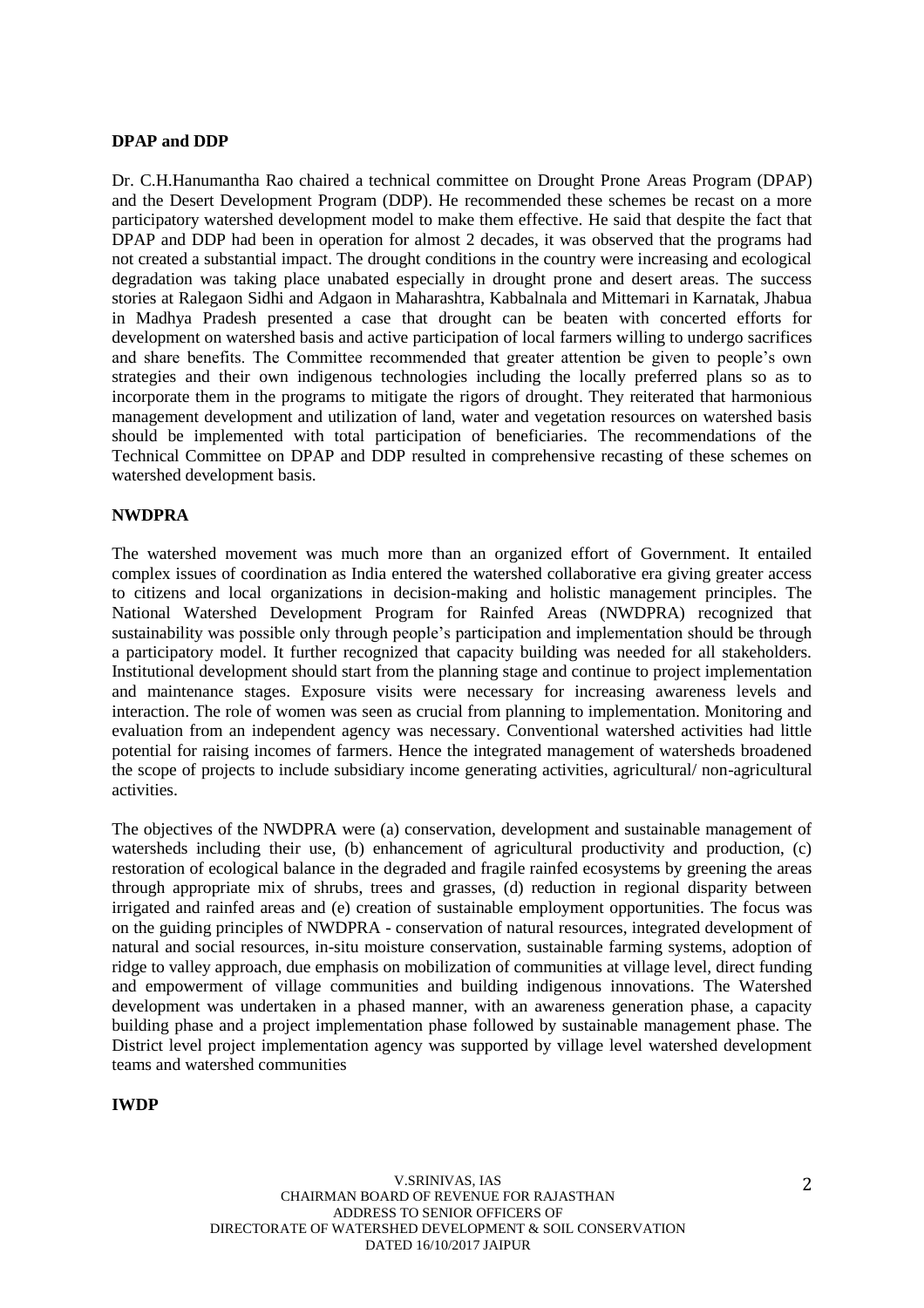### **DPAP and DDP**

Dr. C.H.Hanumantha Rao chaired a technical committee on Drought Prone Areas Program (DPAP) and the Desert Development Program (DDP). He recommended these schemes be recast on a more participatory watershed development model to make them effective. He said that despite the fact that DPAP and DDP had been in operation for almost 2 decades, it was observed that the programs had not created a substantial impact. The drought conditions in the country were increasing and ecological degradation was taking place unabated especially in drought prone and desert areas. The success stories at Ralegaon Sidhi and Adgaon in Maharashtra, Kabbalnala and Mittemari in Karnatak, Jhabua in Madhya Pradesh presented a case that drought can be beaten with concerted efforts for development on watershed basis and active participation of local farmers willing to undergo sacrifices and share benefits. The Committee recommended that greater attention be given to people's own strategies and their own indigenous technologies including the locally preferred plans so as to incorporate them in the programs to mitigate the rigors of drought. They reiterated that harmonious management development and utilization of land, water and vegetation resources on watershed basis should be implemented with total participation of beneficiaries. The recommendations of the Technical Committee on DPAP and DDP resulted in comprehensive recasting of these schemes on watershed development basis.

### **NWDPRA**

The watershed movement was much more than an organized effort of Government. It entailed complex issues of coordination as India entered the watershed collaborative era giving greater access to citizens and local organizations in decision-making and holistic management principles. The National Watershed Development Program for Rainfed Areas (NWDPRA) recognized that sustainability was possible only through people's participation and implementation should be through a participatory model. It further recognized that capacity building was needed for all stakeholders. Institutional development should start from the planning stage and continue to project implementation and maintenance stages. Exposure visits were necessary for increasing awareness levels and interaction. The role of women was seen as crucial from planning to implementation. Monitoring and evaluation from an independent agency was necessary. Conventional watershed activities had little potential for raising incomes of farmers. Hence the integrated management of watersheds broadened the scope of projects to include subsidiary income generating activities, agricultural/ non-agricultural activities.

The objectives of the NWDPRA were (a) conservation, development and sustainable management of watersheds including their use, (b) enhancement of agricultural productivity and production, (c) restoration of ecological balance in the degraded and fragile rainfed ecosystems by greening the areas through appropriate mix of shrubs, trees and grasses, (d) reduction in regional disparity between irrigated and rainfed areas and (e) creation of sustainable employment opportunities. The focus was on the guiding principles of NWDPRA - conservation of natural resources, integrated development of natural and social resources, in-situ moisture conservation, sustainable farming systems, adoption of ridge to valley approach, due emphasis on mobilization of communities at village level, direct funding and empowerment of village communities and building indigenous innovations. The Watershed development was undertaken in a phased manner, with an awareness generation phase, a capacity building phase and a project implementation phase followed by sustainable management phase. The District level project implementation agency was supported by village level watershed development teams and watershed communities

### **IWDP**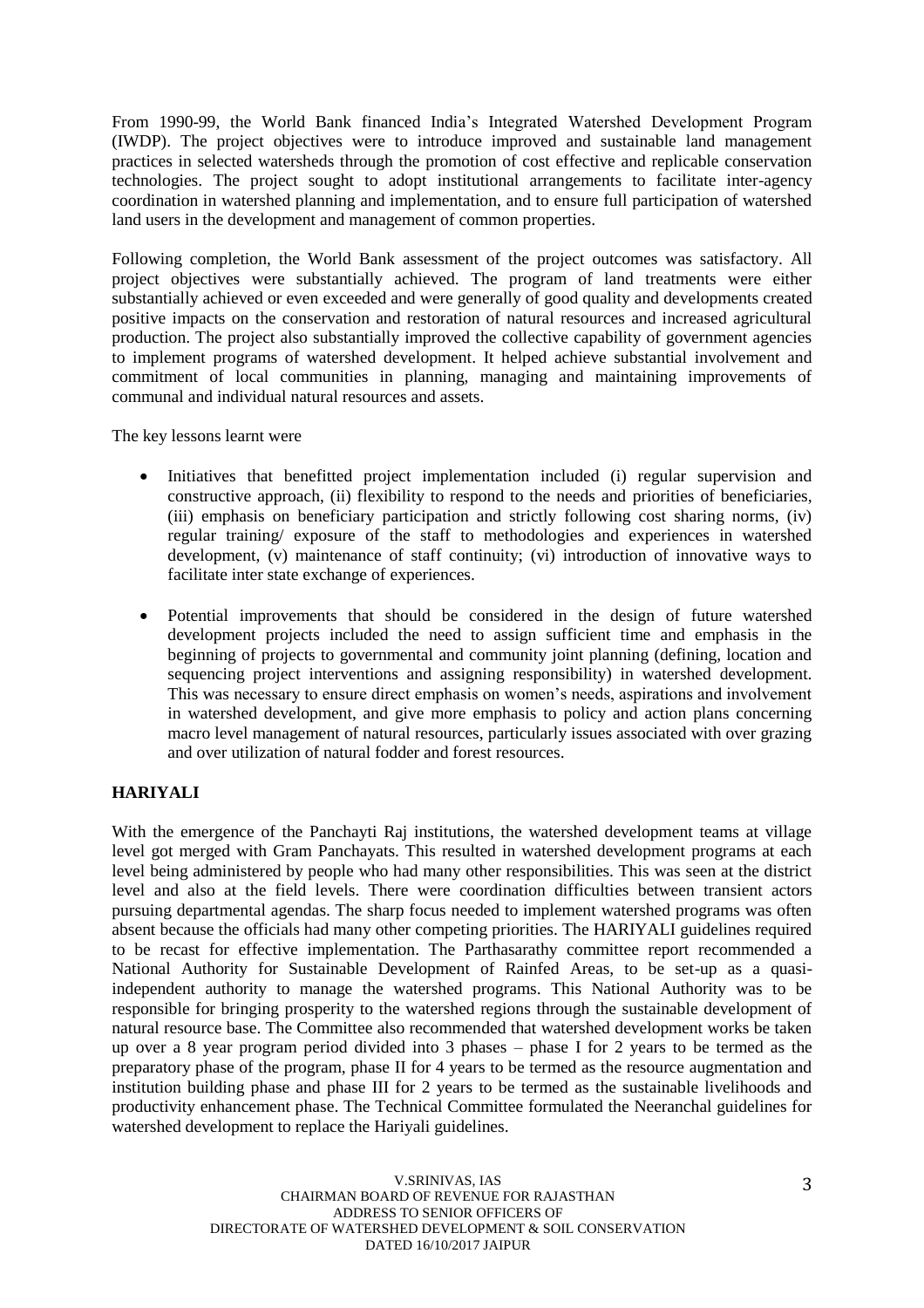From 1990-99, the World Bank financed India's Integrated Watershed Development Program (IWDP). The project objectives were to introduce improved and sustainable land management practices in selected watersheds through the promotion of cost effective and replicable conservation technologies. The project sought to adopt institutional arrangements to facilitate inter-agency coordination in watershed planning and implementation, and to ensure full participation of watershed land users in the development and management of common properties.

Following completion, the World Bank assessment of the project outcomes was satisfactory. All project objectives were substantially achieved. The program of land treatments were either substantially achieved or even exceeded and were generally of good quality and developments created positive impacts on the conservation and restoration of natural resources and increased agricultural production. The project also substantially improved the collective capability of government agencies to implement programs of watershed development. It helped achieve substantial involvement and commitment of local communities in planning, managing and maintaining improvements of communal and individual natural resources and assets.

The key lessons learnt were

- Initiatives that benefitted project implementation included (i) regular supervision and constructive approach, (ii) flexibility to respond to the needs and priorities of beneficiaries, (iii) emphasis on beneficiary participation and strictly following cost sharing norms, (iv) regular training/ exposure of the staff to methodologies and experiences in watershed development, (v) maintenance of staff continuity; (vi) introduction of innovative ways to facilitate inter state exchange of experiences.
- Potential improvements that should be considered in the design of future watershed development projects included the need to assign sufficient time and emphasis in the beginning of projects to governmental and community joint planning (defining, location and sequencing project interventions and assigning responsibility) in watershed development. This was necessary to ensure direct emphasis on women's needs, aspirations and involvement in watershed development, and give more emphasis to policy and action plans concerning macro level management of natural resources, particularly issues associated with over grazing and over utilization of natural fodder and forest resources.

# **HARIYALI**

With the emergence of the Panchayti Raj institutions, the watershed development teams at village level got merged with Gram Panchayats. This resulted in watershed development programs at each level being administered by people who had many other responsibilities. This was seen at the district level and also at the field levels. There were coordination difficulties between transient actors pursuing departmental agendas. The sharp focus needed to implement watershed programs was often absent because the officials had many other competing priorities. The HARIYALI guidelines required to be recast for effective implementation. The Parthasarathy committee report recommended a National Authority for Sustainable Development of Rainfed Areas, to be set-up as a quasiindependent authority to manage the watershed programs. This National Authority was to be responsible for bringing prosperity to the watershed regions through the sustainable development of natural resource base. The Committee also recommended that watershed development works be taken up over a 8 year program period divided into 3 phases – phase I for 2 years to be termed as the preparatory phase of the program, phase II for 4 years to be termed as the resource augmentation and institution building phase and phase III for 2 years to be termed as the sustainable livelihoods and productivity enhancement phase. The Technical Committee formulated the Neeranchal guidelines for watershed development to replace the Hariyali guidelines.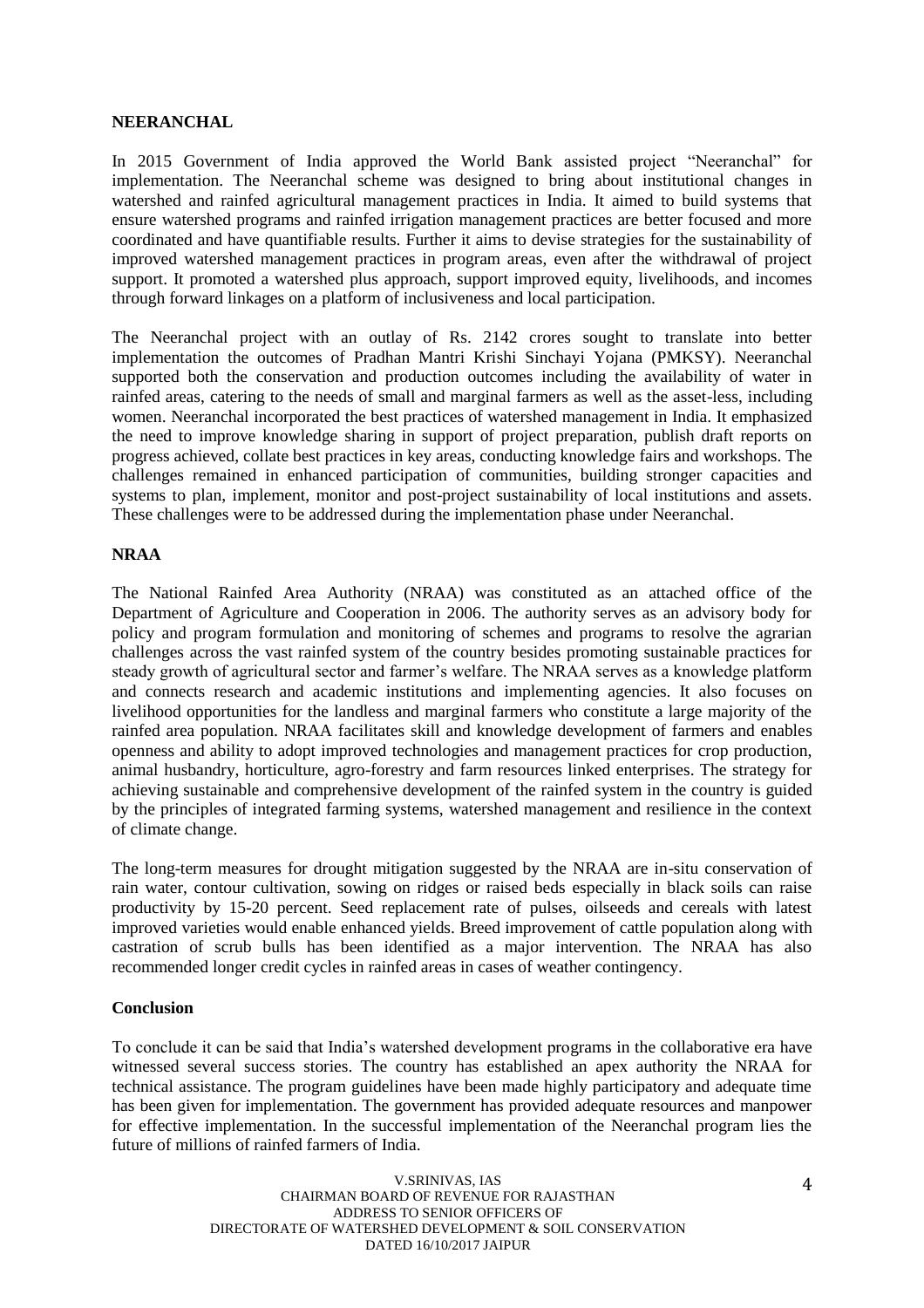#### **NEERANCHAL**

In 2015 Government of India approved the World Bank assisted project "Neeranchal" for implementation. The Neeranchal scheme was designed to bring about institutional changes in watershed and rainfed agricultural management practices in India. It aimed to build systems that ensure watershed programs and rainfed irrigation management practices are better focused and more coordinated and have quantifiable results. Further it aims to devise strategies for the sustainability of improved watershed management practices in program areas, even after the withdrawal of project support. It promoted a watershed plus approach, support improved equity, livelihoods, and incomes through forward linkages on a platform of inclusiveness and local participation.

The Neeranchal project with an outlay of Rs. 2142 crores sought to translate into better implementation the outcomes of Pradhan Mantri Krishi Sinchayi Yojana (PMKSY). Neeranchal supported both the conservation and production outcomes including the availability of water in rainfed areas, catering to the needs of small and marginal farmers as well as the asset-less, including women. Neeranchal incorporated the best practices of watershed management in India. It emphasized the need to improve knowledge sharing in support of project preparation, publish draft reports on progress achieved, collate best practices in key areas, conducting knowledge fairs and workshops. The challenges remained in enhanced participation of communities, building stronger capacities and systems to plan, implement, monitor and post-project sustainability of local institutions and assets. These challenges were to be addressed during the implementation phase under Neeranchal.

### **NRAA**

The National Rainfed Area Authority (NRAA) was constituted as an attached office of the Department of Agriculture and Cooperation in 2006. The authority serves as an advisory body for policy and program formulation and monitoring of schemes and programs to resolve the agrarian challenges across the vast rainfed system of the country besides promoting sustainable practices for steady growth of agricultural sector and farmer's welfare. The NRAA serves as a knowledge platform and connects research and academic institutions and implementing agencies. It also focuses on livelihood opportunities for the landless and marginal farmers who constitute a large majority of the rainfed area population. NRAA facilitates skill and knowledge development of farmers and enables openness and ability to adopt improved technologies and management practices for crop production, animal husbandry, horticulture, agro-forestry and farm resources linked enterprises. The strategy for achieving sustainable and comprehensive development of the rainfed system in the country is guided by the principles of integrated farming systems, watershed management and resilience in the context of climate change.

The long-term measures for drought mitigation suggested by the NRAA are in-situ conservation of rain water, contour cultivation, sowing on ridges or raised beds especially in black soils can raise productivity by 15-20 percent. Seed replacement rate of pulses, oilseeds and cereals with latest improved varieties would enable enhanced yields. Breed improvement of cattle population along with castration of scrub bulls has been identified as a major intervention. The NRAA has also recommended longer credit cycles in rainfed areas in cases of weather contingency.

#### **Conclusion**

To conclude it can be said that India's watershed development programs in the collaborative era have witnessed several success stories. The country has established an apex authority the NRAA for technical assistance. The program guidelines have been made highly participatory and adequate time has been given for implementation. The government has provided adequate resources and manpower for effective implementation. In the successful implementation of the Neeranchal program lies the future of millions of rainfed farmers of India.